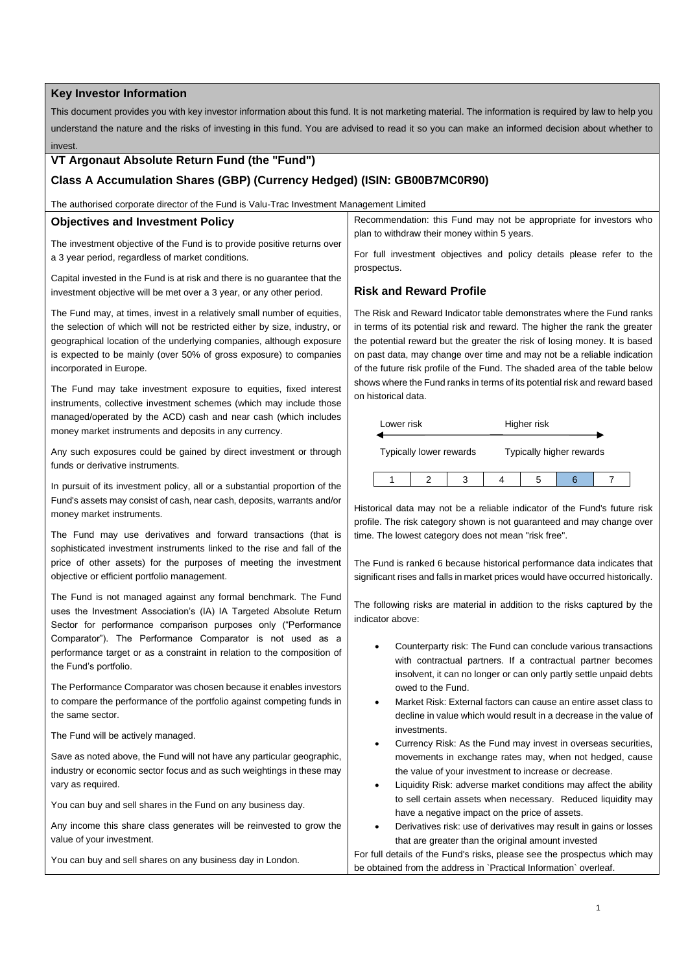## **Key Investor Information**

This document provides you with key investor information about this fund. It is not marketing material. The information is required by law to help you understand the nature and the risks of investing in this fund. You are advised to read it so you can make an informed decision about whether to invest.

# **VT Argonaut Absolute Return Fund (the "Fund")**

# **Class A Accumulation Shares (GBP) (Currency Hedged) (ISIN: GB00B7MC0R90)**

The authorised corporate director of the Fund is Valu-Trac Investment Management Limited

#### **Objectives and Investment Policy**

The investment objective of the Fund is to provide positive returns over a 3 year period, regardless of market conditions.

Capital invested in the Fund is at risk and there is no guarantee that the investment objective will be met over a 3 year, or any other period.

The Fund may, at times, invest in a relatively small number of equities, the selection of which will not be restricted either by size, industry, or geographical location of the underlying companies, although exposure is expected to be mainly (over 50% of gross exposure) to companies incorporated in Europe.

The Fund may take investment exposure to equities, fixed interest instruments, collective investment schemes (which may include those managed/operated by the ACD) cash and near cash (which includes money market instruments and deposits in any currency.

Any such exposures could be gained by direct investment or through funds or derivative instruments.

In pursuit of its investment policy, all or a substantial proportion of the Fund's assets may consist of cash, near cash, deposits, warrants and/or money market instruments.

The Fund may use derivatives and forward transactions (that is sophisticated investment instruments linked to the rise and fall of the price of other assets) for the purposes of meeting the investment objective or efficient portfolio management.

The Fund is not managed against any formal benchmark. The Fund uses the Investment Association's (IA) IA Targeted Absolute Return Sector for performance comparison purposes only ("Performance Comparator"). The Performance Comparator is not used as a performance target or as a constraint in relation to the composition of the Fund's portfolio.

The Performance Comparator was chosen because it enables investors to compare the performance of the portfolio against competing funds in the same sector.

The Fund will be actively managed.

Save as noted above, the Fund will not have any particular geographic, industry or economic sector focus and as such weightings in these may vary as required.

You can buy and sell shares in the Fund on any business day.

Any income this share class generates will be reinvested to grow the value of your investment.

You can buy and sell shares on any business day in London.

Recommendation: this Fund may not be appropriate for investors who plan to withdraw their money within 5 years.

For full investment objectives and policy details please refer to the prospectus.

## **Risk and Reward Profile**

The Risk and Reward Indicator table demonstrates where the Fund ranks in terms of its potential risk and reward. The higher the rank the greater the potential reward but the greater the risk of losing money. It is based on past data, may change over time and may not be a reliable indication of the future risk profile of the Fund. The shaded area of the table below shows where the Fund ranks in terms of its potential risk and reward based on historical data.

| Lower risk              |  |  | Higher risk              |  |  |  |
|-------------------------|--|--|--------------------------|--|--|--|
| Typically lower rewards |  |  | Typically higher rewards |  |  |  |
|                         |  |  |                          |  |  |  |

Historical data may not be a reliable indicator of the Fund's future risk profile. The risk category shown is not guaranteed and may change over time. The lowest category does not mean "risk free".

The Fund is ranked 6 because historical performance data indicates that significant rises and falls in market prices would have occurred historically.

The following risks are material in addition to the risks captured by the indicator above:

- Counterparty risk: The Fund can conclude various transactions with contractual partners. If a contractual partner becomes insolvent, it can no longer or can only partly settle unpaid debts owed to the Fund.
- Market Risk: External factors can cause an entire asset class to decline in value which would result in a decrease in the value of investments
- Currency Risk: As the Fund may invest in overseas securities, movements in exchange rates may, when not hedged, cause the value of your investment to increase or decrease.
- Liquidity Risk: adverse market conditions may affect the ability to sell certain assets when necessary. Reduced liquidity may have a negative impact on the price of assets.
- Derivatives risk: use of derivatives may result in gains or losses that are greater than the original amount invested

For full details of the Fund's risks, please see the prospectus which may be obtained from the address in `Practical Information` overleaf.